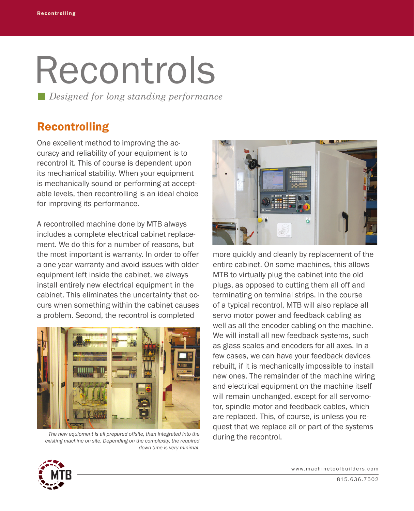## Recontrols

*Designed for long standing performance*

## Recontrolling

One excellent method to improving the accuracy and reliability of your equipment is to recontrol it. This of course is dependent upon its mechanical stability. When your equipment is mechanically sound or performing at acceptable levels, then recontrolling is an ideal choice for improving its performance.

A recontrolled machine done by MTB always includes a complete electrical cabinet replacement. We do this for a number of reasons, but the most important is warranty. In order to offer a one year warranty and avoid issues with older equipment left inside the cabinet, we always install entirely new electrical equipment in the cabinet. This eliminates the uncertainty that occurs when something within the cabinet causes a problem. Second, the recontrol is completed



*The new equipment is all prepared offsite, than integrated into the existing machine on site. Depending on the complexity, the required down time is very minimal.* 



more quickly and cleanly by replacement of the entire cabinet. On some machines, this allows MTB to virtually plug the cabinet into the old plugs, as opposed to cutting them all off and terminating on terminal strips. In the course of a typical recontrol, MTB will also replace all servo motor power and feedback cabling as well as all the encoder cabling on the machine. We will install all new feedback systems, such as glass scales and encoders for all axes. In a few cases, we can have your feedback devices rebuilt, if it is mechanically impossible to install new ones. The remainder of the machine wiring and electrical equipment on the machine itself will remain unchanged, except for all servomotor, spindle motor and feedback cables, which are replaced. This, of course, is unless you request that we replace all or part of the systems during the recontrol.